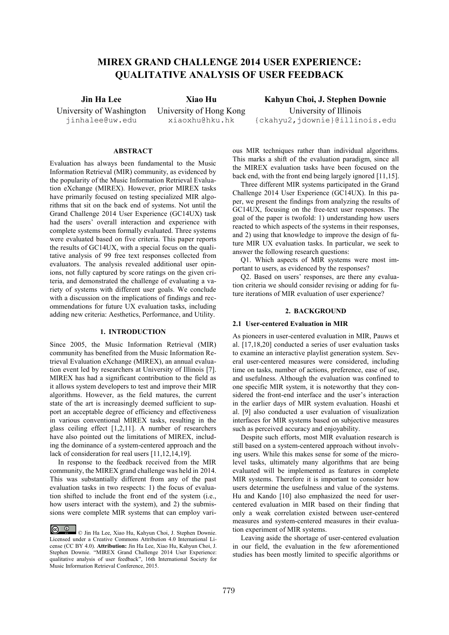# **MIREX GRAND CHALLENGE 2014 USER EXPERIENCE: QUALITATIVE ANALYSIS OF USER FEEDBACK**

University of Washington jinhalee@uw.edu

University of Hong Kong xiaoxhu@hku.hk

**Jin Ha Lee Xiao Hu Kahyun Choi, J. Stephen Downie** University of Illinois {ckahyu2,jdownie}@illinois.edu

# **ABSTRACT**

Evaluation has always been fundamental to the Music Information Retrieval (MIR) community, as evidenced by the popularity of the Music Information Retrieval Evaluation eXchange (MIREX). However, prior MIREX tasks have primarily focused on testing specialized MIR algorithms that sit on the back end of systems. Not until the Grand Challenge 2014 User Experience (GC14UX) task had the users' overall interaction and experience with complete systems been formally evaluated. Three systems were evaluated based on five criteria. This paper reports the results of GC14UX, with a special focus on the qualitative analysis of 99 free text responses collected from evaluators. The analysis revealed additional user opinions, not fully captured by score ratings on the given criteria, and demonstrated the challenge of evaluating a variety of systems with different user goals. We conclude with a discussion on the implications of findings and recommendations for future UX evaluation tasks, including adding new criteria: Aesthetics, Performance, and Utility.

#### **1. INTRODUCTION**

Since 2005, the Music Information Retrieval (MIR) community has benefited from the Music Information Retrieval Evaluation eXchange (MIREX), an annual evaluation event led by researchers at University of Illinois [7]. MIREX has had a significant contribution to the field as it allows system developers to test and improve their MIR algorithms. However, as the field matures, the current state of the art is increasingly deemed sufficient to support an acceptable degree of efficiency and effectiveness in various conventional MIREX tasks, resulting in the glass ceiling effect [1,2,11]. A number of researchers have also pointed out the limitations of MIREX, including the dominance of a system-centered approach and the lack of consideration for real users [11,12,14,19].

In response to the feedback received from the MIR community, the MIREX grand challenge was held in 2014. This was substantially different from any of the past evaluation tasks in two respects: 1) the focus of evaluation shifted to include the front end of the system (i.e., how users interact with the system), and 2) the submissions were complete MIR systems that can employ various MIR techniques rather than individual algorithms. This marks a shift of the evaluation paradigm, since all the MIREX evaluation tasks have been focused on the back end, with the front end being largely ignored [11,15].

Three different MIR systems participated in the Grand Challenge 2014 User Experience (GC14UX). In this paper, we present the findings from analyzing the results of GC14UX, focusing on the free-text user responses. The goal of the paper is twofold: 1) understanding how users reacted to which aspects of the systems in their responses, and 2) using that knowledge to improve the design of future MIR UX evaluation tasks. In particular, we seek to answer the following research questions:

Q1. Which aspects of MIR systems were most important to users, as evidenced by the responses?

Q2. Based on users' responses, are there any evaluation criteria we should consider revising or adding for future iterations of MIR evaluation of user experience?

### **2. BACKGROUND**

## **2.1 User-centered Evaluation in MIR**

As pioneers in user-centered evaluation in MIR, Pauws et al. [17,18,20] conducted a series of user evaluation tasks to examine an interactive playlist generation system. Several user-centered measures were considered, including time on tasks, number of actions, preference, ease of use, and usefulness. Although the evaluation was confined to one specific MIR system, it is noteworthy that they considered the front-end interface and the user's interaction in the earlier days of MIR system evaluation. Hoashi et al. [9] also conducted a user evaluation of visualization interfaces for MIR systems based on subjective measures such as perceived accuracy and enjoyability.

Despite such efforts, most MIR evaluation research is still based on a system-centered approach without involving users. While this makes sense for some of the microlevel tasks, ultimately many algorithms that are being evaluated will be implemented as features in complete MIR systems. Therefore it is important to consider how users determine the usefulness and value of the systems. Hu and Kando [10] also emphasized the need for usercentered evaluation in MIR based on their finding that only a weak correlation existed between user-centered measures and system-centered measures in their evaluation experiment of MIR systems.

Leaving aside the shortage of user-centered evaluation in our field, the evaluation in the few aforementioned studies has been mostly limited to specific algorithms or

<sup>©</sup> Jin Ha Lee, Xiao Hu, Kahyun Choi, J. Stephen Downie. Licensed under a Creative Commons Attribution 4.0 International License (CC BY 4.0). **Attribution:** Jin Ha Lee, Xiao Hu, Kahyun Choi, J. Stephen Downie. "MIREX Grand Challenge 2014 User Experience: qualitative analysis of user feedback", 16th International Society for Music Information Retrieval Conference, 2015.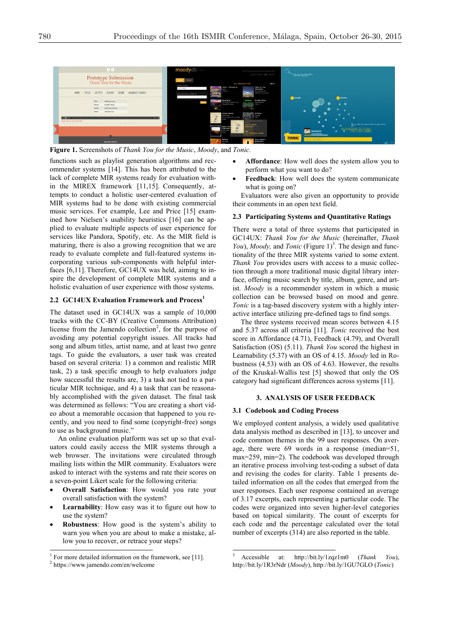

**Figure 1.** Screenshots of *Thank You for the Music*, *Moody*, and *Tonic.*

functions such as playlist generation algorithms and recommender systems [14]. This has been attributed to the lack of complete MIR systems ready for evaluation within the MIREX framework [11,15]. Consequently, attempts to conduct a holistic user-centered evaluation of MIR systems had to be done with existing commercial music services. For example, Lee and Price [15] examined how Nielsen's usability heuristics [16] can be applied to evaluate multiple aspects of user experience for services like Pandora, Spotify, etc. As the MIR field is maturing, there is also a growing recognition that we are ready to evaluate complete and full-featured systems incorporating various sub-components with helpful interfaces [6,11].Therefore, GC14UX was held, aiming to inspire the development of complete MIR systems and a holistic evaluation of user experience with those systems.

#### **2.2 GC14UX Evaluation Framework and Process<sup>1</sup>**

The dataset used in GC14UX was a sample of 10,000 tracks with the CC-BY (Creative Commons Attribution) license from the Jamendo collection<sup>2</sup>, for the purpose of avoiding any potential copyright issues. All tracks had song and album titles, artist name, and at least two genre tags. To guide the evaluators, a user task was created based on several criteria: 1) a common and realistic MIR task, 2) a task specific enough to help evaluators judge how successful the results are, 3) a task not tied to a particular MIR technique, and 4) a task that can be reasonably accomplished with the given dataset. The final task was determined as follows: "You are creating a short video about a memorable occasion that happened to you recently, and you need to find some (copyright-free) songs to use as background music."

An online evaluation platform was set up so that evaluators could easily access the MIR systems through a web browser. The invitations were circulated through mailing lists within the MIR community. Evaluators were asked to interact with the systems and rate their scores on a seven-point Likert scale for the following criteria:

- **Overall Satisfaction**: How would you rate your overall satisfaction with the system?
- Learnability: How easy was it to figure out how to use the system?
- x **Robustness**: How good is the system's ability to warn you when you are about to make a mistake, allow you to recover, or retrace your steps?
- x **Affordance**: How well does the system allow you to perform what you want to do?
- Feedback: How well does the system communicate what is going on?

Evaluators were also given an opportunity to provide their comments in an open text field.

#### **2.3 Participating Systems and Quantitative Ratings**

There were a total of three systems that participated in GC14UX: *Thank You for the Music* (hereinafter, *Thank You*), *Moody*, and *Tonic* (Figure 1)<sup>3</sup>. The design and functionality of the three MIR systems varied to some extent. *Thank You* provides users with access to a music collection through a more traditional music digital library interface, offering music search by title, album, genre, and artist. *Moody* is a recommender system in which a music collection can be browsed based on mood and genre. *Tonic* is a tag-based discovery system with a highly interactive interface utilizing pre-defined tags to find songs.

The three systems received mean scores between 4.15 and 5.37 across all criteria [11]. *Tonic* received the best score in Affordance (4.71), Feedback (4.79), and Overall Satisfaction (OS) (5.11). *Thank You* scored the highest in Learnability (5.37) with an OS of 4.15. *Moody* led in Robustness (4.53) with an OS of 4.63. However, the results of the Kruskal-Wallis test [5] showed that only the OS category had significant differences across systems [11].

# **3. ANALYSIS OF USER FEEDBACK**

#### **3.1 Codebook and Coding Process**

We employed content analysis, a widely used qualitative data analysis method as described in [13], to uncover and code common themes in the 99 user responses. On average, there were 69 words in a response (median=51, max=259, min=2). The codebook was developed through an iterative process involving test-coding a subset of data and revising the codes for clarity. Table 1 presents detailed information on all the codes that emerged from the user responses. Each user response contained an average of 3.17 excerpts, each representing a particular code. The codes were organized into seven higher-level categories based on topical similarity. The count of excerpts for each code and the percentage calculated over the total number of excerpts (314) are also reported in the table.

<sup>&</sup>lt;sup>1</sup> For more detailed information on the framework, see [11].  $2$  https://www.jamendo.com/en/welcome

 <sup>3</sup> Accessible at: http://bit.ly/1zqz1m0 (*Thank You*), http://bit.ly/1R3rNdr (*Moody*), http://bit.ly/1GU7GLO (*Tonic*)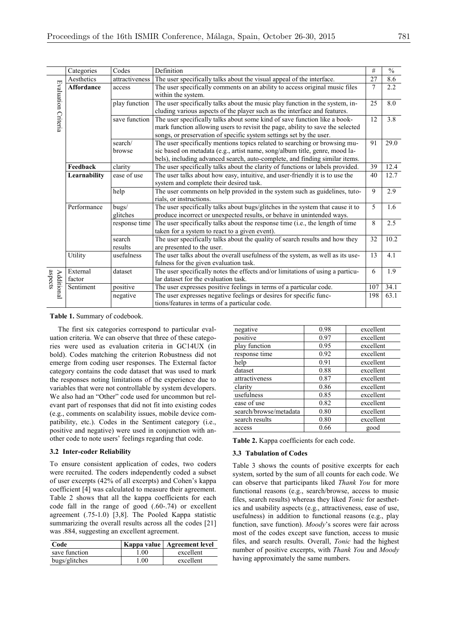|                              | Categories                                                                                                                      | Codes                                                                                                                                  | Definition                                                                                                                                                                                                                               | #    | $\overline{\frac{0}{0}}$ |  |
|------------------------------|---------------------------------------------------------------------------------------------------------------------------------|----------------------------------------------------------------------------------------------------------------------------------------|------------------------------------------------------------------------------------------------------------------------------------------------------------------------------------------------------------------------------------------|------|--------------------------|--|
|                              | Aesthetics                                                                                                                      | attractiveness                                                                                                                         | The user specifically talks about the visual appeal of the interface.                                                                                                                                                                    |      | 8.6                      |  |
| Evaluation Criteria          | <b>Affordance</b>                                                                                                               | access                                                                                                                                 | The user specifically comments on an ability to access original music files<br>within the system.                                                                                                                                        | 7    | 2.2                      |  |
|                              |                                                                                                                                 | play function                                                                                                                          | The user specifically talks about the music play function in the system, in-<br>cluding various aspects of the player such as the interface and features.                                                                                | 25   | 8.0                      |  |
|                              |                                                                                                                                 | save function                                                                                                                          | The user specifically talks about some kind of save function like a book-<br>mark function allowing users to revisit the page, ability to save the selected<br>songs, or preservation of specific system settings set by the user.       | 12   | $\overline{3.8}$         |  |
|                              |                                                                                                                                 | search/<br>browse                                                                                                                      | The user specifically mentions topics related to searching or browsing mu-<br>sic based on metadata (e.g., artist name, song/album title, genre, mood la-<br>bels), including advanced search, auto-complete, and finding similar items. | 91   | $\overline{29.0}$        |  |
|                              | Feedback                                                                                                                        | clarity                                                                                                                                | The user specifically talks about the clarity of functions or labels provided.                                                                                                                                                           | 39   | 12.4                     |  |
|                              | Learnability                                                                                                                    | ease of use<br>The user talks about how easy, intuitive, and user-friendly it is to use the<br>system and complete their desired task. |                                                                                                                                                                                                                                          |      |                          |  |
|                              |                                                                                                                                 | help                                                                                                                                   | The user comments on help provided in the system such as guidelines, tuto-<br>rials, or instructions.                                                                                                                                    | 9    | 2.9                      |  |
|                              | Performance                                                                                                                     | bugs/<br>glitches                                                                                                                      | The user specifically talks about bugs/glitches in the system that cause it to<br>produce incorrect or unexpected results, or behave in unintended ways.                                                                                 | 5    | 1.6                      |  |
|                              |                                                                                                                                 | response time                                                                                                                          | The user specifically talks about the response time (i.e., the length of time<br>taken for a system to react to a given event).                                                                                                          | 8    | 2.5                      |  |
|                              |                                                                                                                                 | search<br>results                                                                                                                      | The user specifically talks about the quality of search results and how they<br>are presented to the user.                                                                                                                               | 32   | 10.2                     |  |
|                              | Utility                                                                                                                         | usefulness                                                                                                                             | The user talks about the overall usefulness of the system, as well as its use-<br>fulness for the given evaluation task.                                                                                                                 | 13   | 4.1                      |  |
| aspects<br><b>Additional</b> | External<br>factor                                                                                                              | dataset                                                                                                                                | The user specifically notes the effects and/or limitations of using a particu-<br>lar dataset for the evaluation task.                                                                                                                   | 6    | 1.9                      |  |
|                              | Sentiment                                                                                                                       | positive                                                                                                                               | The user expresses positive feelings in terms of a particular code.                                                                                                                                                                      |      | 34.1                     |  |
|                              | The user expresses negative feelings or desires for specific func-<br>negative<br>tions/features in terms of a particular code. |                                                                                                                                        | 198                                                                                                                                                                                                                                      | 63.1 |                          |  |

#### **Table 1.** Summary of codebook.

The first six categories correspond to particular evaluation criteria. We can observe that three of these categories were used as evaluation criteria in GC14UX (in bold). Codes matching the criterion Robustness did not emerge from coding user responses. The External factor category contains the code dataset that was used to mark the responses noting limitations of the experience due to variables that were not controllable by system developers. We also had an "Other" code used for uncommon but relevant part of responses that did not fit into existing codes (e.g., comments on scalability issues, mobile device compatibility, etc.). Codes in the Sentiment category (i.e., positive and negative) were used in conjunction with another code to note users' feelings regarding that code.

#### **3.2 Inter-coder Reliability**

To ensure consistent application of codes, two coders were recruited. The coders independently coded a subset of user excerpts (42% of all excerpts) and Cohen's kappa coefficient [4] was calculated to measure their agreement. Table 2 shows that all the kappa coefficients for each code fall in the range of good (.60-.74) or excellent agreement (.75-1.0) [3,8]. The Pooled Kappa statistic summarizing the overall results across all the codes [21] was .884, suggesting an excellent agreement.

| Code          |        | Kappa value   Agreement level |
|---------------|--------|-------------------------------|
| save function | $00$ . | excellent                     |
| bugs/glitches | .00    | excellent                     |

| negative               | 0.98              | excellent |
|------------------------|-------------------|-----------|
| positive               | 0.97              | excellent |
| play function          | 0.95              | excellent |
| response time          | 0.92              | excellent |
| help                   | 0.91              | excellent |
| dataset                | 0.88              | excellent |
| attractiveness         | 0.87<br>excellent |           |
| clarity                | 0.86              | excellent |
| usefulness             | 0.85              | excellent |
| ease of use            | 0.82              | excellent |
| search/browse/metadata | 0.80              | excellent |
| search results         | 0.80              | excellent |
| access                 | 0.66              | good      |

**Table 2.** Kappa coefficients for each code.

### **3.3 Tabulation of Codes**

Table 3 shows the counts of positive excerpts for each system, sorted by the sum of all counts for each code. We can observe that participants liked *Thank You* for more functional reasons (e.g., search/browse, access to music files, search results) whereas they liked *Tonic* for aesthetics and usability aspects (e.g., attractiveness, ease of use, usefulness) in addition to functional reasons (e.g., play function, save function). *Moody*'s scores were fair across most of the codes except save function, access to music files, and search results. Overall, *Tonic* had the highest number of positive excerpts, with *Thank You* and *Moody* having approximately the same numbers.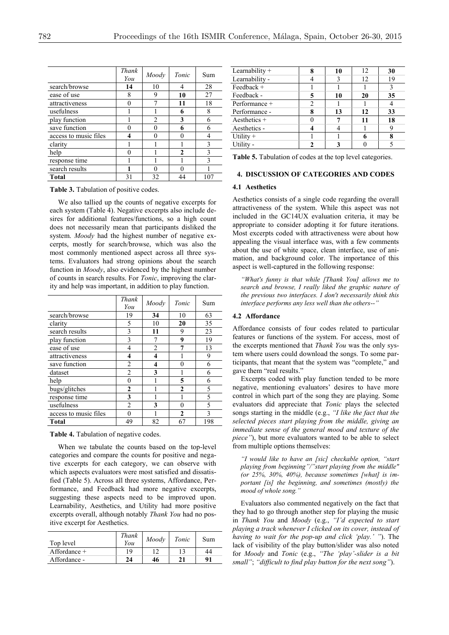|                       | Thank<br>You | Moodv          | Tonic        | Sum |
|-----------------------|--------------|----------------|--------------|-----|
| search/browse         | 14           | 10             | 4            | 28  |
| ease of use           | 8            | 9              | 10           | 27  |
| attractiveness        |              |                | 11           | 18  |
| usefulness            |              |                | 6            | 8   |
| play function         |              | $\overline{2}$ | 3            | 6   |
| save function         |              | 0              | 6            | 6   |
| access to music files |              | 0              |              |     |
| clarity               |              |                |              | 3   |
| help                  |              |                | $\mathbf{2}$ |     |
| response time         |              |                |              |     |
| search results        |              | 0              |              |     |
| Total                 | 31           | 32             | 44           |     |

We also tallied up the counts of negative excerpts for each system (Table 4). Negative excerpts also include desires for additional features/functions, so a high count does not necessarily mean that participants disliked the system. *Moody* had the highest number of negative excerpts, mostly for search/browse, which was also the most commonly mentioned aspect across all three systems. Evaluators had strong opinions about the search function in *Moody*, also evidenced by the highest number of counts in search results. For *Tonic*, improving the clarity and help was important, in addition to play function.

|                       | Thank<br>You   | Moody          | Tonic        | Sum |
|-----------------------|----------------|----------------|--------------|-----|
| search/browse         | 19             | 34             | 10           | 63  |
| clarity               | 5              | 10             | 20           | 35  |
| search results        | 3              | 11             | 9            | 23  |
| play function         | 3              |                | 9            | 19  |
| ease of use           | 4              | $\overline{2}$ | 7            | 13  |
| attractiveness        | 4              | 4              |              | 9   |
| save function         | $\overline{c}$ | 4              | 0            | 6   |
| dataset               | $\overline{c}$ | 3              |              | 6   |
| help                  | 0              |                | 5            | 6   |
| bugs/glitches         | 2              |                | $\mathbf{2}$ | 5   |
| response time         | 3              |                |              | 5   |
| usefulness            | $\overline{2}$ | 3              | 0            | 5   |
| access to music files |                |                | $\mathbf{2}$ | 3   |
| <b>Total</b>          | 49             | 82             | 67           | 198 |

**Table 4.** Tabulation of negative codes.

When we tabulate the counts based on the top-level categories and compare the counts for positive and negative excerpts for each category, we can observe with which aspects evaluators were most satisfied and dissatisfied (Table 5). Across all three systems, Affordance, Performance, and Feedback had more negative excerpts, suggesting these aspects need to be improved upon. Learnability, Aesthetics, and Utility had more positive excerpts overall, although notably *Thank You* had no positive excerpt for Aesthetics.

| Top level      | Thank<br>You | Moody | Tonic | Sum |
|----------------|--------------|-------|-------|-----|
| Affordance $+$ | 19           |       |       | 44  |
| Affordance -   | 24           | 46    | 21    | 91  |

| Learnability + | Я | 10 | 12 | 30 |
|----------------|---|----|----|----|
| Learnability - |   | 3  | 12 | 19 |
| Feedback +     |   |    |    | 3  |
| Feedback -     |   | 10 | 20 | 35 |
| Performance +  |   |    |    |    |
| Performance -  | 8 | 13 | 12 | 33 |
| Aesthetics $+$ |   |    | 11 | 18 |
| Aesthetics -   |   |    |    |    |
| Utility $+$    |   |    |    |    |
| Utility -      |   |    |    |    |

**Table 5.** Tabulation of codes at the top level categories.

#### **4. DISCUSSION OF CATEGORIES AND CODES**

## **4.1 Aesthetics**

Aesthetics consists of a single code regarding the overall attractiveness of the system. While this aspect was not included in the GC14UX evaluation criteria, it may be appropriate to consider adopting it for future iterations. Most excerpts coded with attractiveness were about how appealing the visual interface was, with a few comments about the use of white space, clean interface, use of animation, and background color. The importance of this aspect is well-captured in the following response:

*"What's funny is that while [Thank You] allows me to search and browse, I really liked the graphic nature of the previous two interfaces. I don't necessarily think this interface performs any less well than the others--"*

#### **4.2 Affordance**

Affordance consists of four codes related to particular features or functions of the system. For access, most of the excerpts mentioned that *Thank You* was the only system where users could download the songs. To some participants, that meant that the system was "complete," and gave them "real results."

Excerpts coded with play function tended to be more negative, mentioning evaluators' desires to have more control in which part of the song they are playing. Some evaluators did appreciate that *Tonic* plays the selected songs starting in the middle (e.g., *"I like the fact that the selected pieces start playing from the middle, giving an immediate sense of the general mood and texture of the piece"*), but more evaluators wanted to be able to select from multiple options themselves:

*"I would like to have an [sic] checkable option, "start playing from beginning"/"start playing from the middle" (or 25%, 30%, 40%), because sometimes [what] is important [is] the beginning, and sometimes (mostly) the mood of whole song."* 

Evaluators also commented negatively on the fact that they had to go through another step for playing the music in *Thank You* and *Moody* (e.g., *"I'd expected to start playing a track whenever I clicked on its cover, instead of having to wait for the pop-up and click 'play.' "*). The lack of visibility of the play button/slider was also noted for *Moody* and *Tonic* (e.g., *"The 'play'-slider is a bit small"*; *"difficult to find play button for the next song"*).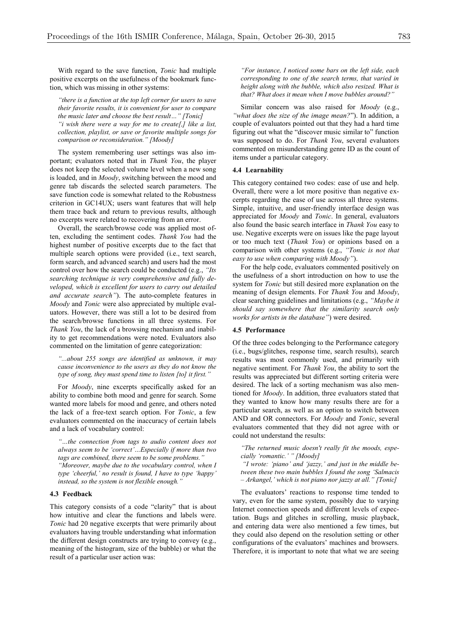With regard to the save function, *Tonic* had multiple positive excerpts on the usefulness of the bookmark function, which was missing in other systems:

*"there is a function at the top left corner for users to save their favorite results, it is convenient for user to compare the music later and choose the best result…" [Tonic] "i wish there were a way for me to create[,] like a list, collection, playlist, or save or favorite multiple songs for comparison or reconsideration." [Moody]*

The system remembering user settings was also important; evaluators noted that in *Thank You*, the player does not keep the selected volume level when a new song is loaded, and in *Moody*, switching between the mood and genre tab discards the selected search parameters. The save function code is somewhat related to the Robustness criterion in GC14UX; users want features that will help them trace back and return to previous results, although no excerpts were related to recovering from an error.

Overall, the search/browse code was applied most often, excluding the sentiment codes. *Thank You* had the highest number of positive excerpts due to the fact that multiple search options were provided (i.e., text search, form search, and advanced search) and users had the most control over how the search could be conducted (e.g., *"Its searching technique is very comprehensive and fully developed, which is excellent for users to carry out detailed and accurate search"*). The auto-complete features in *Moody* and *Tonic* were also appreciated by multiple evaluators. However, there was still a lot to be desired from the search/browse functions in all three systems. For *Thank You*, the lack of a browsing mechanism and inability to get recommendations were noted. Evaluators also commented on the limitation of genre categorization:

*"...about 255 songs are identified as unknown, it may cause inconvenience to the users as they do not know the type of song, they must spend time to listen [to] it first."*

For *Moody*, nine excerpts specifically asked for an ability to combine both mood and genre for search. Some wanted more labels for mood and genre, and others noted the lack of a free-text search option. For *Tonic*, a few evaluators commented on the inaccuracy of certain labels and a lack of vocabulary control:

*"…the connection from tags to audio content does not always seem to be 'correct'…Especially if more than two tags are combined, there seem to be some problems." "Moreover, maybe due to the vocabulary control, when I type 'cheerful,' no result is found, I have to type 'happy' instead, so the system is not flexible enough."*

## **4.3 Feedback**

This category consists of a code "clarity" that is about how intuitive and clear the functions and labels were. *Tonic* had 20 negative excerpts that were primarily about evaluators having trouble understanding what information the different design constructs are trying to convey (e.g., meaning of the histogram, size of the bubble) or what the result of a particular user action was:

*"For instance, I noticed some bars on the left side, each corresponding to one of the search terms, that varied in height along with the bubble, which also resized. What is that? What does it mean when I move bubbles around?"*

Similar concern was also raised for *Moody* (e.g., *"what does the size of the image mean?*"). In addition, a couple of evaluators pointed out that they had a hard time figuring out what the "discover music similar to" function was supposed to do. For *Thank You*, several evaluators commented on misunderstanding genre ID as the count of items under a particular category.

## **4.4 Learnability**

This category contained two codes: ease of use and help. Overall, there were a lot more positive than negative excerpts regarding the ease of use across all three systems. Simple, intuitive, and user-friendly interface design was appreciated for *Moody* and *Tonic*. In general, evaluators also found the basic search interface in *Thank You* easy to use. Negative excerpts were on issues like the page layout or too much text (*Thank You*) or opinions based on a comparison with other systems (e.g., *"Tonic is not that easy to use when comparing with Moody"*).

For the help code, evaluators commented positively on the usefulness of a short introduction on how to use the system for *Tonic* but still desired more explanation on the meaning of design elements. For *Thank You* and *Moody*, clear searching guidelines and limitations (e.g., *"Maybe it should say somewhere that the similarity search only works for artists in the database"*) were desired.

## **4.5 Performance**

Of the three codes belonging to the Performance category (i.e., bugs/glitches, response time, search results), search results was most commonly used, and primarily with negative sentiment. For *Thank You*, the ability to sort the results was appreciated but different sorting criteria were desired. The lack of a sorting mechanism was also mentioned for *Moody*. In addition, three evaluators stated that they wanted to know how many results there are for a particular search, as well as an option to switch between AND and OR connectors. For *Moody* and *Tonic*, several evaluators commented that they did not agree with or could not understand the results:

*"The returned music doesn't really fit the moods, especially 'romantic.' " [Moody]*

*"I wrote: 'piano' and 'jazzy,' and just in the middle between these two main bubbles I found the song 'Salmacis – Arkangel,' which is not piano nor jazzy at all." [Tonic]*

The evaluators' reactions to response time tended to vary, even for the same system, possibly due to varying Internet connection speeds and different levels of expectation. Bugs and glitches in scrolling, music playback, and entering data were also mentioned a few times, but they could also depend on the resolution setting or other configurations of the evaluators' machines and browsers. Therefore, it is important to note that what we are seeing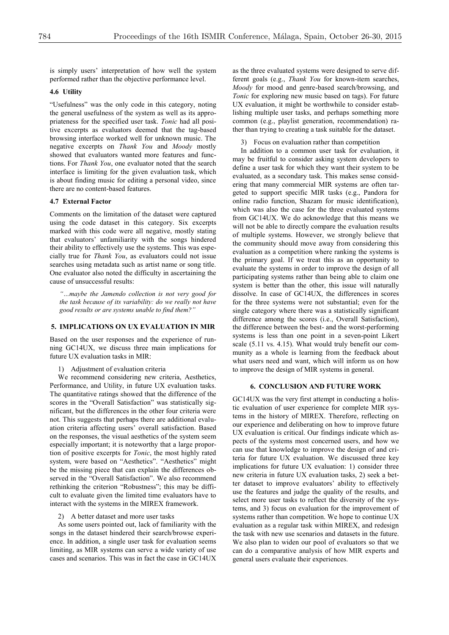is simply users' interpretation of how well the system performed rather than the objective performance level.

#### **4.6 Utility**

"Usefulness" was the only code in this category, noting the general usefulness of the system as well as its appropriateness for the specified user task. *Tonic* had all positive excerpts as evaluators deemed that the tag-based browsing interface worked well for unknown music. The negative excerpts on *Thank You* and *Moody* mostly showed that evaluators wanted more features and functions. For *Thank You*, one evaluator noted that the search interface is limiting for the given evaluation task, which is about finding music for editing a personal video, since there are no content-based features.

# **4.7 External Factor**

Comments on the limitation of the dataset were captured using the code dataset in this category. Six excerpts marked with this code were all negative, mostly stating that evaluators' unfamiliarity with the songs hindered their ability to effectively use the systems. This was especially true for *Thank You*, as evaluators could not issue searches using metadata such as artist name or song title. One evaluator also noted the difficulty in ascertaining the cause of unsuccessful results:

*"…maybe the Jamendo collection is not very good for the task because of its variability: do we really not have good results or are systems unable to find them?"*

# **5. IMPLICATIONS ON UX EVALUATION IN MIR**

Based on the user responses and the experience of running GC14UX, we discuss three main implications for future UX evaluation tasks in MIR:

1) Adjustment of evaluation criteria

We recommend considering new criteria, Aesthetics, Performance, and Utility, in future UX evaluation tasks. The quantitative ratings showed that the difference of the scores in the "Overall Satisfaction" was statistically significant, but the differences in the other four criteria were not. This suggests that perhaps there are additional evaluation criteria affecting users' overall satisfaction. Based on the responses, the visual aesthetics of the system seem especially important; it is noteworthy that a large proportion of positive excerpts for *Tonic*, the most highly rated system, were based on "Aesthetics". "Aesthetics" might be the missing piece that can explain the differences observed in the "Overall Satisfaction". We also recommend rethinking the criterion "Robustness"; this may be difficult to evaluate given the limited time evaluators have to interact with the systems in the MIREX framework.

#### 2) A better dataset and more user tasks

As some users pointed out, lack of familiarity with the songs in the dataset hindered their search/browse experience. In addition, a single user task for evaluation seems limiting, as MIR systems can serve a wide variety of use cases and scenarios. This was in fact the case in GC14UX

as the three evaluated systems were designed to serve different goals (e.g., *Thank You* for known-item searches, *Moody* for mood and genre-based search/browsing, and *Tonic* for exploring new music based on tags). For future UX evaluation, it might be worthwhile to consider establishing multiple user tasks, and perhaps something more common (e.g., playlist generation, recommendation) rather than trying to creating a task suitable for the dataset.

3) Focus on evaluation rather than competition

In addition to a common user task for evaluation, it may be fruitful to consider asking system developers to define a user task for which they want their system to be evaluated, as a secondary task. This makes sense considering that many commercial MIR systems are often targeted to support specific MIR tasks (e.g., Pandora for online radio function, Shazam for music identification), which was also the case for the three evaluated systems from GC14UX. We do acknowledge that this means we will not be able to directly compare the evaluation results of multiple systems. However, we strongly believe that the community should move away from considering this evaluation as a competition where ranking the systems is the primary goal. If we treat this as an opportunity to evaluate the systems in order to improve the design of all participating systems rather than being able to claim one system is better than the other, this issue will naturally dissolve. In case of GC14UX, the differences in scores for the three systems were not substantial; even for the single category where there was a statistically significant difference among the scores (i.e., Overall Satisfaction), the difference between the best- and the worst-performing systems is less than one point in a seven-point Likert scale (5.11 vs. 4.15). What would truly benefit our community as a whole is learning from the feedback about what users need and want, which will inform us on how to improve the design of MIR systems in general.

### **6. CONCLUSION AND FUTURE WORK**

GC14UX was the very first attempt in conducting a holistic evaluation of user experience for complete MIR systems in the history of MIREX. Therefore, reflecting on our experience and deliberating on how to improve future UX evaluation is critical. Our findings indicate which aspects of the systems most concerned users, and how we can use that knowledge to improve the design of and criteria for future UX evaluation. We discussed three key implications for future UX evaluation: 1) consider three new criteria in future UX evaluation tasks, 2) seek a better dataset to improve evaluators' ability to effectively use the features and judge the quality of the results, and select more user tasks to reflect the diversity of the systems, and 3) focus on evaluation for the improvement of systems rather than competition. We hope to continue UX evaluation as a regular task within MIREX, and redesign the task with new use scenarios and datasets in the future. We also plan to widen our pool of evaluators so that we can do a comparative analysis of how MIR experts and general users evaluate their experiences.